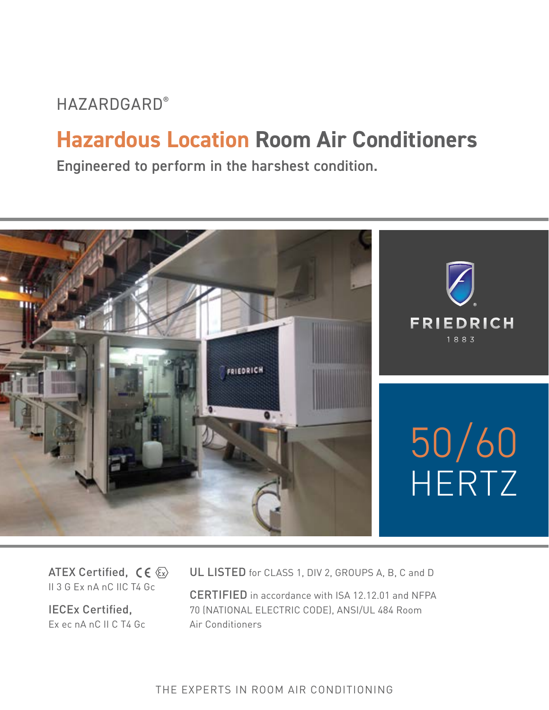# **HAZARDGARD®**

# **Hazardous Location Room Air Conditioners**

Engineered to perform in the harshest condition.



ATEX Certified,  $C \in \langle \overline{\epsilon_x} \rangle$ II 3 G Ex nA nC IIC T4 Gc

IECEx Certified, Ex ec nA nC II C T4 Gc UL LISTED for CLASS 1, DIV 2, GROUPS A, B, C and D

CERTIFIED in accordance with ISA 12.12.01 and NFPA 70 (NATIONAL ELECTRIC CODE), ANSI/UL 484 Room Air Conditioners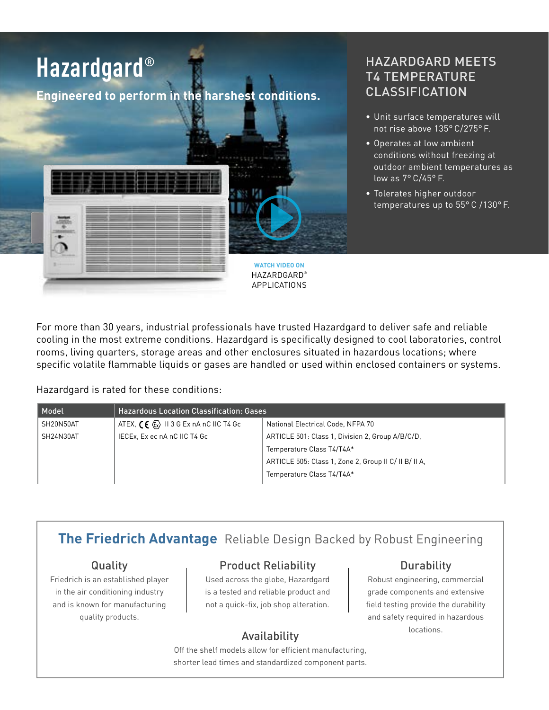

# HAZARDGARD MEETS T4 TEMPERATURE CLASSIFICATION

- Unit surface temperatures will not rise above 135° C/275° F.
- Operates at low ambient conditions without freezing at outdoor ambient temperatures as low as 7° C/45° F.
- Tolerates higher outdoor temperatures up to 55° C /130° F.

For more than 30 years, industrial professionals have trusted Hazardgard to deliver safe and reliable cooling in the most extreme conditions. Hazardgard is specifically designed to cool laboratories, control rooms, living quarters, storage areas and other enclosures situated in hazardous locations; where specific volatile flammable liquids or gases are handled or used within enclosed containers or systems.

Hazardgard is rated for these conditions:

| Model     | <b>Hazardous Location Classification: Gases</b>                              |                                                       |  |  |  |  |  |  |  |
|-----------|------------------------------------------------------------------------------|-------------------------------------------------------|--|--|--|--|--|--|--|
| SH20N50AT | ATEX, $\zeta \in \langle \overline{\xi}_x \rangle$ II 3 G Ex nA nC IIC T4 Gc | National Electrical Code, NFPA 70                     |  |  |  |  |  |  |  |
| SH24N30AT | IECEx, Ex ec nA nC IIC T4 Gc                                                 | ARTICLE 501: Class 1, Division 2, Group A/B/C/D.      |  |  |  |  |  |  |  |
|           |                                                                              | Temperature Class T4/T4A*                             |  |  |  |  |  |  |  |
|           |                                                                              | ARTICLE 505: Class 1, Zone 2, Group II C/ II B/ II A, |  |  |  |  |  |  |  |
|           |                                                                              | Temperature Class T4/T4A*                             |  |  |  |  |  |  |  |

# **The Friedrich Advantage** Reliable Design Backed by Robust Engineering

### Quality

Friedrich is an established player in the air conditioning industry and is known for manufacturing quality products.

## Product Reliability

Used across the globe, Hazardgard is a tested and reliable product and not a quick-fix, job shop alteration.

## Durability

Robust engineering, commercial grade components and extensive field testing provide the durability and safety required in hazardous Availability **Exercise Security** Locations.

Off the shelf models allow for efficient manufacturing, shorter lead times and standardized component parts.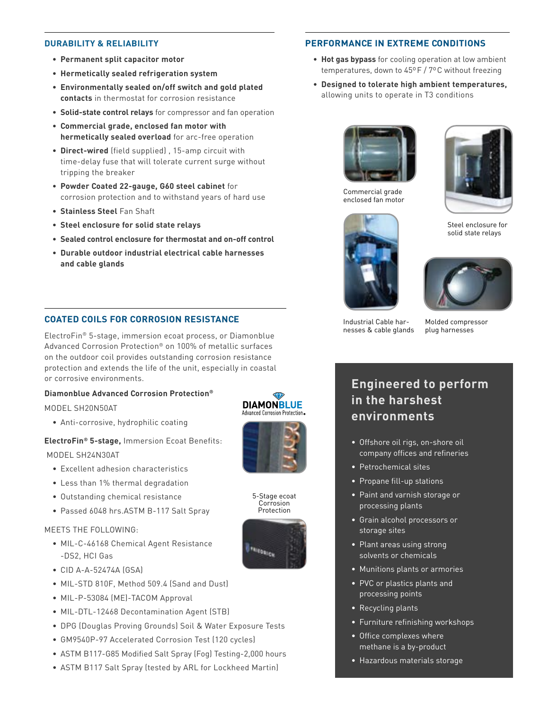#### **DURABILITY & RELIABILITY**

- **• Permanent split capacitor motor**
- **• Hermetically sealed refrigeration system**
- **• Environmentally sealed on/off switch and gold plated contacts** in thermostat for corrosion resistance
- **• Solid-state control relays** for compressor and fan operation
- **• Commercial grade, enclosed fan motor with hermetically sealed overload** for arc-free operation
- **• Direct-wired** (field supplied) , 15-amp circuit with time-delay fuse that will tolerate current surge without tripping the breaker
- **• Powder Coated 22-gauge, G60 steel cabinet** for corrosion protection and to withstand years of hard use
- **• Stainless Steel** Fan Shaft
- **• Steel enclosure for solid state relays**
- **• Sealed control enclosure for thermostat and on-off control**
- **• Durable outdoor industrial electrical cable harnesses and cable glands**

#### **COATED COILS FOR CORROSION RESISTANCE**

ElectroFin® 5-stage, immersion ecoat process, or Diamonblue Advanced Corrosion Protection® on 100% of metallic surfaces on the outdoor coil provides outstanding corrosion resistance protection and extends the life of the unit, especially in coastal or corrosive environments.

#### **Diamonblue Advanced Corrosion Protection®**

MODEL SH20N50AT

• Anti-corrosive, hydrophilic coating

# **ElectroFin® 5-stage,** Immersion Ecoat Benefits:

MODEL SH24N30AT

- Excellent adhesion characteristics
- Less than 1% thermal degradation
- Outstanding chemical resistance
- Passed 6048 hrs.ASTM B-117 Salt Spray

#### MEETS THE FOLLOWING:

- MIL-C-46168 Chemical Agent Resistance -DS2, HCI Gas
- CID A-A-52474A (GSA)
- MIL-STD 810F, Method 509.4 (Sand and Dust)
- MIL-P-53084 (ME)-TACOM Approval
- MIL-DTL-12468 Decontamination Agent (STB)
- DPG (Douglas Proving Grounds) Soil & Water Exposure Tests
- GM9540P-97 Accelerated Corrosion Test (120 cycles)
- ASTM B117-G85 Modified Salt Spray (Fog) Testing-2,000 hours
- ASTM B117 Salt Spray (tested by ARL for Lockheed Martin)





5-Stage ecoat Corrosion Protection



#### **PERFORMANCE IN EXTREME CONDITIONS**

- **• Hot gas bypass** for cooling operation at low ambient temperatures, down to 45ºF / 7ºC without freezing
- **• Designed to tolerate high ambient temperatures,**  allowing units to operate in T3 conditions



Commercial grade enclosed fan motor



Steel enclosure for solid state relays



Industrial Cable harnesses & cable glands

Molded compressor plug harnesses

# **Engineered to perform in the harshest environments**

- Offshore oil rigs, on-shore oil company offices and refineries
- Petrochemical sites
- Propane fill-up stations
- Paint and varnish storage or processing plants
- Grain alcohol processors or storage sites
- Plant areas using strong solvents or chemicals
- Munitions plants or armories
- PVC or plastics plants and processing points
- Recycling plants
- Furniture refinishing workshops
- Office complexes where methane is a by-product
- Hazardous materials storage